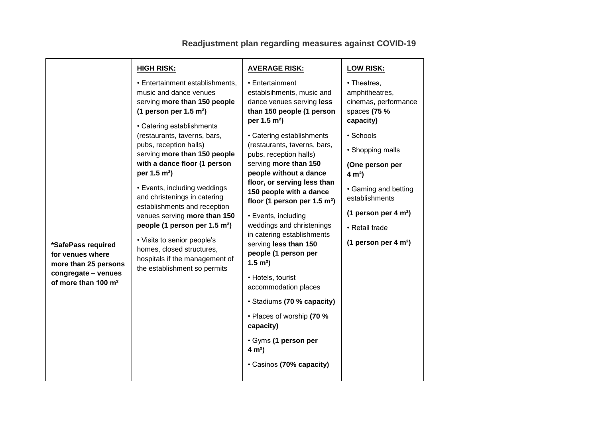|                                                                                                                          | <b>HIGH RISK:</b>                                                                                                                                                                                                                                                                                       | <b>AVERAGE RISK:</b>                                                                                                                                                                                                                                  | <b>LOW RISK:</b>                                                                   |
|--------------------------------------------------------------------------------------------------------------------------|---------------------------------------------------------------------------------------------------------------------------------------------------------------------------------------------------------------------------------------------------------------------------------------------------------|-------------------------------------------------------------------------------------------------------------------------------------------------------------------------------------------------------------------------------------------------------|------------------------------------------------------------------------------------|
|                                                                                                                          | • Entertainment establishments,<br>music and dance venues<br>serving more than 150 people<br>(1 person per $1.5$ m <sup>2</sup> )<br>• Catering establishments                                                                                                                                          | • Entertainment<br>establsihments, music and<br>dance venues serving less<br>than 150 people (1 person<br>per 1.5 m <sup>2</sup> )                                                                                                                    | • Theatres,<br>amphitheatres,<br>cinemas, performance<br>spaces (75 %<br>capacity) |
|                                                                                                                          | (restaurants, taverns, bars,                                                                                                                                                                                                                                                                            | • Catering establishments                                                                                                                                                                                                                             | • Schools                                                                          |
|                                                                                                                          | pubs, reception halls)<br>serving more than 150 people                                                                                                                                                                                                                                                  | (restaurants, taverns, bars,<br>pubs, reception halls)                                                                                                                                                                                                | • Shopping malls                                                                   |
|                                                                                                                          | with a dance floor (1 person<br>per 1.5 m <sup>2</sup> )                                                                                                                                                                                                                                                | serving more than 150<br>people without a dance                                                                                                                                                                                                       | (One person per<br>$4 m2$ )                                                        |
|                                                                                                                          | • Events, including weddings<br>and christenings in catering<br>establishments and reception<br>venues serving more than 150<br>people (1 person per 1.5 m <sup>2</sup> )<br>• Visits to senior people's<br>homes, closed structures,<br>hospitals if the management of<br>the establishment so permits | floor, or serving less than<br>150 people with a dance<br>floor (1 person per $1.5$ m <sup>2</sup> )<br>• Events, including<br>weddings and christenings<br>in catering establishments<br>serving less than 150<br>people (1 person per<br>$1.5 m2$ ) | • Gaming and betting<br>establishments                                             |
|                                                                                                                          |                                                                                                                                                                                                                                                                                                         |                                                                                                                                                                                                                                                       | (1 person per 4 $m2$ )                                                             |
|                                                                                                                          |                                                                                                                                                                                                                                                                                                         |                                                                                                                                                                                                                                                       | • Retail trade                                                                     |
| *SafePass required<br>for venues where<br>more than 25 persons<br>congregate - venues<br>of more than 100 m <sup>2</sup> |                                                                                                                                                                                                                                                                                                         |                                                                                                                                                                                                                                                       | (1 person per 4 $m2$ )                                                             |
|                                                                                                                          |                                                                                                                                                                                                                                                                                                         | • Hotels, tourist<br>accommodation places                                                                                                                                                                                                             |                                                                                    |
|                                                                                                                          |                                                                                                                                                                                                                                                                                                         | · Stadiums (70 % capacity)                                                                                                                                                                                                                            |                                                                                    |
|                                                                                                                          |                                                                                                                                                                                                                                                                                                         | • Places of worship (70 %<br>capacity)                                                                                                                                                                                                                |                                                                                    |
|                                                                                                                          |                                                                                                                                                                                                                                                                                                         | · Gyms (1 person per<br>$4 m2$ )                                                                                                                                                                                                                      |                                                                                    |
|                                                                                                                          |                                                                                                                                                                                                                                                                                                         | • Casinos (70% capacity)                                                                                                                                                                                                                              |                                                                                    |

## **Readjustment plan regarding measures against COVID-19**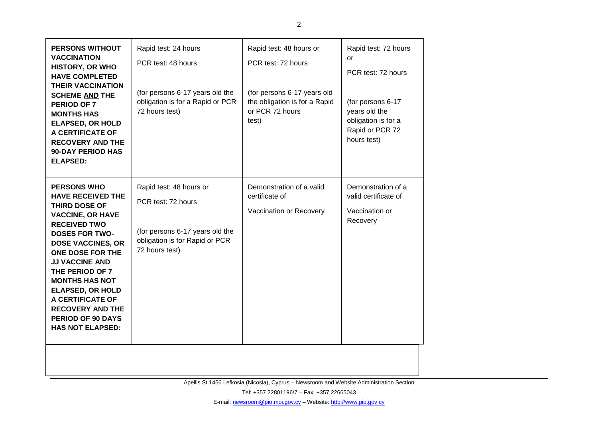| <b>PERSONS WITHOUT</b><br><b>VACCINATION</b><br><b>HISTORY, OR WHO</b><br><b>HAVE COMPLETED</b><br><b>THEIR VACCINATION</b><br><b>SCHEME AND THE</b><br>PERIOD OF 7<br><b>MONTHS HAS</b><br><b>ELAPSED, OR HOLD</b><br>A CERTIFICATE OF<br><b>RECOVERY AND THE</b><br><b>90-DAY PERIOD HAS</b><br><b>ELAPSED:</b>                                                                                | Rapid test: 24 hours<br>PCR test: 48 hours<br>(for persons 6-17 years old the<br>obligation is for a Rapid or PCR<br>72 hours test)  | Rapid test: 48 hours or<br>PCR test: 72 hours<br>(for persons 6-17 years old<br>the obligation is for a Rapid<br>or PCR 72 hours<br>test) | Rapid test: 72 hours<br>or<br>PCR test: 72 hours<br>(for persons 6-17<br>years old the<br>obligation is for a<br>Rapid or PCR 72<br>hours test) |
|--------------------------------------------------------------------------------------------------------------------------------------------------------------------------------------------------------------------------------------------------------------------------------------------------------------------------------------------------------------------------------------------------|--------------------------------------------------------------------------------------------------------------------------------------|-------------------------------------------------------------------------------------------------------------------------------------------|-------------------------------------------------------------------------------------------------------------------------------------------------|
| <b>PERSONS WHO</b><br><b>HAVE RECEIVED THE</b><br>THIRD DOSE OF<br><b>VACCINE, OR HAVE</b><br><b>RECEIVED TWO</b><br><b>DOSES FOR TWO-</b><br><b>DOSE VACCINES, OR</b><br><b>ONE DOSE FOR THE</b><br><b>JJ VACCINE AND</b><br>THE PERIOD OF 7<br><b>MONTHS HAS NOT</b><br><b>ELAPSED, OR HOLD</b><br>A CERTIFICATE OF<br><b>RECOVERY AND THE</b><br>PERIOD OF 90 DAYS<br><b>HAS NOT ELAPSED:</b> | Rapid test: 48 hours or<br>PCR test: 72 hours<br>(for persons 6-17 years old the<br>obligation is for Rapid or PCR<br>72 hours test) | Demonstration of a valid<br>certificate of<br>Vaccination or Recovery                                                                     | Demonstration of a<br>valid certificate of<br>Vaccination or<br>Recovery                                                                        |
|                                                                                                                                                                                                                                                                                                                                                                                                  |                                                                                                                                      |                                                                                                                                           |                                                                                                                                                 |

Apellis St.1456 Lefkosia (Nicosia), Cyprus – Newsroom and Website Administration Section

Tel: +357 22801196/7 – Fax: +357 22665043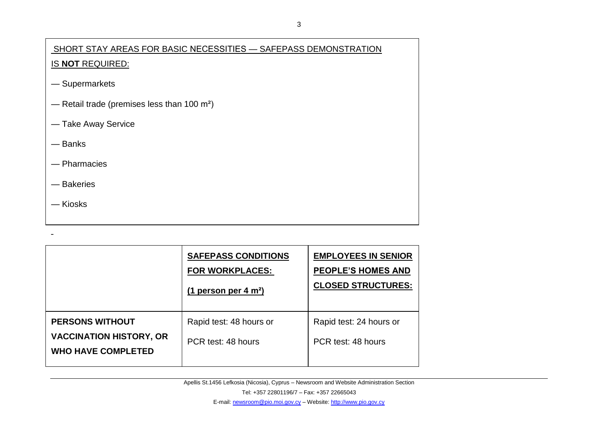## SHORT STAY AREAS FOR BASIC ΝECESSITIES — SAFEPASS DEMONSTRATION IS **NOT** REQUIRED:

- Supermarkets
- Retail trade (premises less than 100 m²)
- Take Away Service
- Banks
- Pharmacies
- Bakeries
- Kiosks

|                                                                                       | <b>SAFEPASS CONDITIONS</b><br><b>FOR WORKPLACES:</b><br>(1 person per 4 m <sup>2</sup> ) | <b>EMPLOYEES IN SENIOR</b><br><b>PEOPLE'S HOMES AND</b><br><b>CLOSED STRUCTURES:</b> |
|---------------------------------------------------------------------------------------|------------------------------------------------------------------------------------------|--------------------------------------------------------------------------------------|
| <b>PERSONS WITHOUT</b><br><b>VACCINATION HISTORY, OR</b><br><b>WHO HAVE COMPLETED</b> | Rapid test: 48 hours or<br>PCR test: 48 hours                                            | Rapid test: 24 hours or<br>PCR test: 48 hours                                        |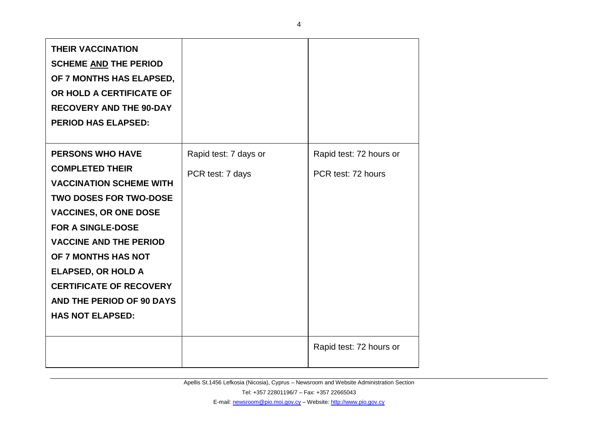| <b>THEIR VACCINATION</b><br><b>SCHEME AND THE PERIOD</b><br>OF 7 MONTHS HAS ELAPSED,<br>OR HOLD A CERTIFICATE OF<br><b>RECOVERY AND THE 90-DAY</b><br><b>PERIOD HAS ELAPSED:</b>                                                                                                                                                                                |                                           |                                               |
|-----------------------------------------------------------------------------------------------------------------------------------------------------------------------------------------------------------------------------------------------------------------------------------------------------------------------------------------------------------------|-------------------------------------------|-----------------------------------------------|
| <b>PERSONS WHO HAVE</b><br><b>COMPLETED THEIR</b><br><b>VACCINATION SCHEME WITH</b><br><b>TWO DOSES FOR TWO-DOSE</b><br><b>VACCINES, OR ONE DOSE</b><br><b>FOR A SINGLE-DOSE</b><br><b>VACCINE AND THE PERIOD</b><br>OF 7 MONTHS HAS NOT<br><b>ELAPSED, OR HOLD A</b><br><b>CERTIFICATE OF RECOVERY</b><br>AND THE PERIOD OF 90 DAYS<br><b>HAS NOT ELAPSED:</b> | Rapid test: 7 days or<br>PCR test: 7 days | Rapid test: 72 hours or<br>PCR test: 72 hours |
|                                                                                                                                                                                                                                                                                                                                                                 |                                           | Rapid test: 72 hours or                       |